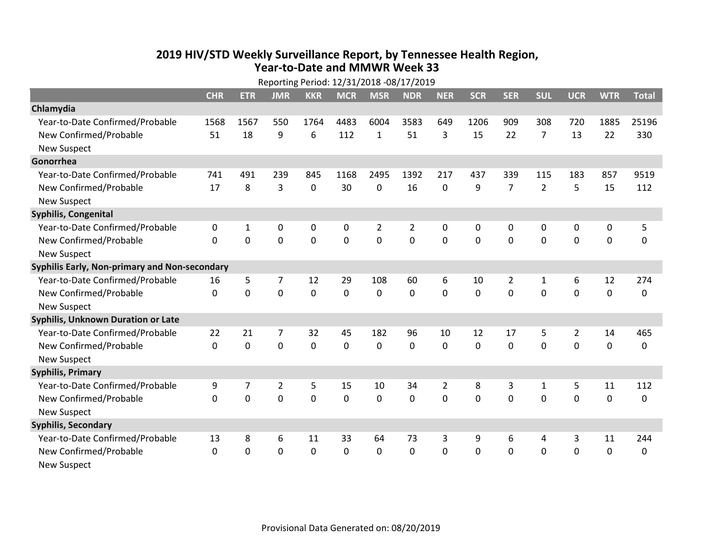## 2019 HIV/STD Weekly Surveillance Report, by Tennessee Health Region, Year-to-Date and MMWR Week 33

| Reporting Period: 12/31/2018 -08/17/2019      |            |                |                |             |             |              |             |                |             |                |                |                |             |              |
|-----------------------------------------------|------------|----------------|----------------|-------------|-------------|--------------|-------------|----------------|-------------|----------------|----------------|----------------|-------------|--------------|
|                                               | <b>CHR</b> | <b>ETR</b>     | <b>JMR</b>     | <b>KKR</b>  | <b>MCR</b>  | <b>MSR</b>   | <b>NDR</b>  | <b>NER</b>     | <b>SCR</b>  | <b>SER</b>     | <b>SUL</b>     | <b>UCR</b>     | <b>WTR</b>  | <b>Total</b> |
| Chlamydia                                     |            |                |                |             |             |              |             |                |             |                |                |                |             |              |
| Year-to-Date Confirmed/Probable               | 1568       | 1567           | 550            | 1764        | 4483        | 6004         | 3583        | 649            | 1206        | 909            | 308            | 720            | 1885        | 25196        |
| New Confirmed/Probable                        | 51         | 18             | 9              | 6           | 112         | $\mathbf{1}$ | 51          | 3              | 15          | 22             | $\overline{7}$ | 13             | 22          | 330          |
| <b>New Suspect</b>                            |            |                |                |             |             |              |             |                |             |                |                |                |             |              |
| Gonorrhea                                     |            |                |                |             |             |              |             |                |             |                |                |                |             |              |
| Year-to-Date Confirmed/Probable               | 741        | 491            | 239            | 845         | 1168        | 2495         | 1392        | 217            | 437         | 339            | 115            | 183            | 857         | 9519         |
| New Confirmed/Probable                        | 17         | 8              | 3              | $\mathbf 0$ | 30          | $\mathbf 0$  | 16          | 0              | 9           | $\overline{7}$ | $\overline{2}$ | 5              | 15          | 112          |
| <b>New Suspect</b>                            |            |                |                |             |             |              |             |                |             |                |                |                |             |              |
| <b>Syphilis, Congenital</b>                   |            |                |                |             |             |              |             |                |             |                |                |                |             |              |
| Year-to-Date Confirmed/Probable               | 0          | 1              | 0              | 0           | 0           | 2            | 2           | 0              | 0           | $\mathbf{0}$   | 0              | 0              | 0           | 5            |
| New Confirmed/Probable                        | 0          | $\mathbf 0$    | 0              | $\mathbf 0$ | 0           | $\mathbf 0$  | $\mathbf 0$ | 0              | $\mathbf 0$ | $\mathbf 0$    | $\mathbf 0$    | $\mathbf 0$    | $\mathbf 0$ | $\mathbf 0$  |
| <b>New Suspect</b>                            |            |                |                |             |             |              |             |                |             |                |                |                |             |              |
| Syphilis Early, Non-primary and Non-secondary |            |                |                |             |             |              |             |                |             |                |                |                |             |              |
| Year-to-Date Confirmed/Probable               | 16         | 5              | 7              | 12          | 29          | 108          | 60          | 6              | 10          | $\overline{2}$ | 1              | 6              | 12          | 274          |
| New Confirmed/Probable                        | 0          | 0              | 0              | $\mathbf 0$ | $\mathbf 0$ | $\mathbf 0$  | $\mathbf 0$ | 0              | $\mathbf 0$ | $\mathbf 0$    | $\mathbf 0$    | $\mathbf 0$    | $\mathbf 0$ | $\mathbf 0$  |
| <b>New Suspect</b>                            |            |                |                |             |             |              |             |                |             |                |                |                |             |              |
| <b>Syphilis, Unknown Duration or Late</b>     |            |                |                |             |             |              |             |                |             |                |                |                |             |              |
| Year-to-Date Confirmed/Probable               | 22         | 21             | 7              | 32          | 45          | 182          | 96          | 10             | 12          | 17             | 5              | $\overline{2}$ | 14          | 465          |
| New Confirmed/Probable                        | $\Omega$   | $\Omega$       | 0              | $\mathbf 0$ | $\mathbf 0$ | $\mathbf 0$  | 0           | $\Omega$       | $\Omega$    | $\Omega$       | $\mathbf 0$    | $\Omega$       | $\mathbf 0$ | $\mathbf 0$  |
| <b>New Suspect</b>                            |            |                |                |             |             |              |             |                |             |                |                |                |             |              |
| <b>Syphilis, Primary</b>                      |            |                |                |             |             |              |             |                |             |                |                |                |             |              |
| Year-to-Date Confirmed/Probable               | 9          | $\overline{7}$ | $\overline{2}$ | 5           | 15          | 10           | 34          | $\overline{2}$ | 8           | 3              | 1              | 5              | 11          | 112          |
| New Confirmed/Probable                        | $\Omega$   | 0              | 0              | $\mathbf 0$ | $\mathbf 0$ | $\mathbf 0$  | $\mathbf 0$ | $\Omega$       | $\Omega$    | $\Omega$       | $\Omega$       | $\mathbf 0$    | $\mathbf 0$ | $\mathbf 0$  |
| <b>New Suspect</b>                            |            |                |                |             |             |              |             |                |             |                |                |                |             |              |
| <b>Syphilis, Secondary</b>                    |            |                |                |             |             |              |             |                |             |                |                |                |             |              |
| Year-to-Date Confirmed/Probable               | 13         | 8              | 6              | 11          | 33          | 64           | 73          | 3              | 9           | 6              | 4              | 3              | 11          | 244          |
| New Confirmed/Probable                        | 0          | $\mathbf{0}$   | 0              | $\Omega$    | 0           | 0            | 0           | 0              | 0           | 0              | $\mathbf 0$    | $\mathbf 0$    | $\mathbf 0$ | 0            |
| <b>New Suspect</b>                            |            |                |                |             |             |              |             |                |             |                |                |                |             |              |